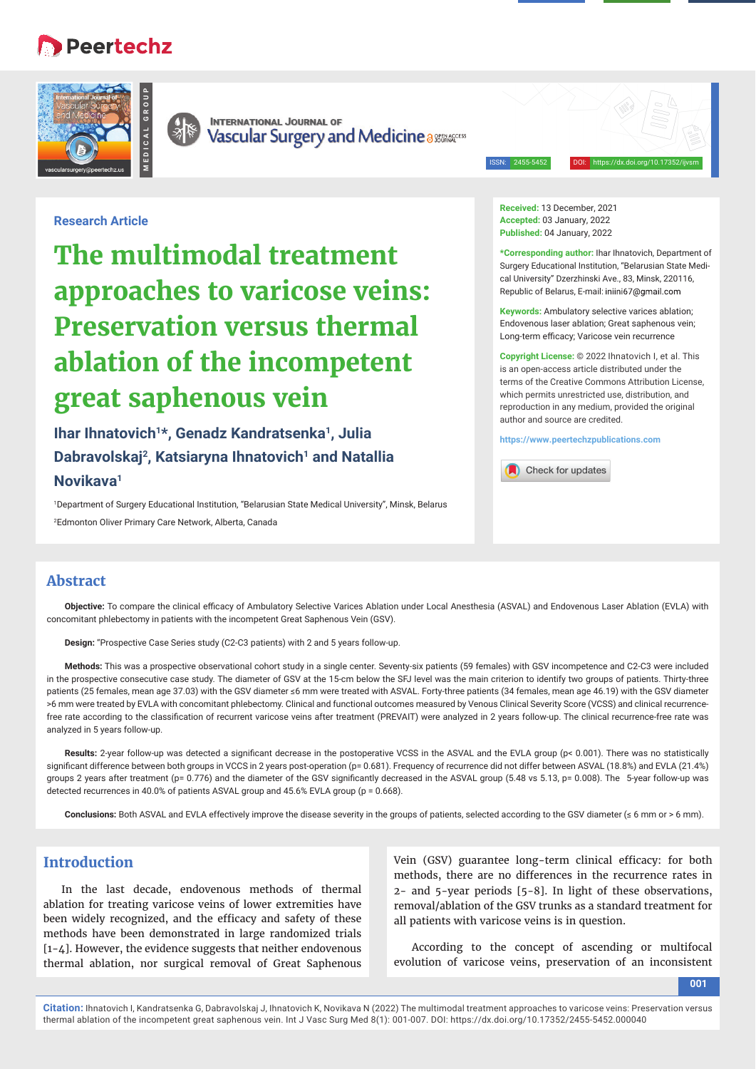# **Peertechz**





**INTERNATIONAL JOURNAL OF** Vascular Surgery and Medicine a 8858460ccss

ISSN: 2455-5452 DOI: https://dx.doi.org/10.17352/ijvsm

## **Research Article**

**The multimodal treatment approaches to varicose veins: Preservation versus thermal ablation of the incompetent great saphenous vein**

**Ihar Ihnatovich1\*, Genadz Kandratsenka1, Julia Dabravolskaj2, Katsiaryna Ihnatovich1 and Natallia Novikava1**

1 Department of Surgery Educational Institution, "Belarusian State Medical University", Minsk, Belarus 2 Edmonton Oliver Primary Care Network, Alberta, Canada

**Received:** 13 December, 2021 **Accepted:** 03 January, 2022 **Published:** 04 January, 2022

**\*Corresponding author:** Ihar Ihnatovich, Department of Surgery Educational Institution, "Belarusian State Medical University" Dzerzhinski Ave., 83, Minsk, 220116, Republic of Belarus, E-mail: iniini67@gmail.com

**Keywords:** Ambulatory selective varices ablation; Endovenous laser ablation; Great saphenous vein; Long-term efficacy; Varicose vein recurrence

**Copyright License:** © 2022 Ihnatovich I, et al. This is an open-access article distributed under the terms of the Creative Commons Attribution License, which permits unrestricted use, distribution, and reproduction in any medium, provided the original author and source are credited.

**https://www.peertechzpublications.com**



## **Abstract**

Objective: To compare the clinical efficacy of Ambulatory Selective Varices Ablation under Local Anesthesia (ASVAL) and Endovenous Laser Ablation (EVLA) with concomitant phlebectomy in patients with the incompetent Great Saphenous Vein (GSV).

**Design:** "Prospective Case Series study (C2-C3 patients) with 2 and 5 years follow-up.

**Methods:** This was a prospective observational cohort study in a single center. Seventy-six patients (59 females) with GSV incompetence and C2-C3 were included in the prospective consecutive case study. The diameter of GSV at the 15-cm below the SFJ level was the main criterion to identify two groups of patients. Thirty-three patients (25 females, mean age 37.03) with the GSV diameter ≤6 mm were treated with ASVAL. Forty-three patients (34 females, mean age 46.19) with the GSV diameter >6 mm were treated by EVLA with concomitant phlebectomy. Clinical and functional outcomes measured by Venous Clinical Severity Score (VCSS) and clinical recurrencefree rate according to the classification of recurrent varicose veins after treatment (PREVAIT) were analyzed in 2 years follow-up. The clinical recurrence-free rate was analyzed in 5 years follow-up.

Results: 2-year follow-up was detected a significant decrease in the postoperative VCSS in the ASVAL and the EVLA group (p< 0.001). There was no statistically significant difference between both groups in VCCS in 2 years post-operation (p= 0.681). Frequency of recurrence did not differ between ASVAL (18.8%) and EVLA (21.4%) groups 2 years after treatment (p= 0.776) and the diameter of the GSV significantly decreased in the ASVAL group (5.48 vs 5.13, p= 0.008). The 5-year follow-up was detected recurrences in 40.0% of patients ASVAL group and 45.6% EVLA group (p = 0.668).

Conclusions: Both ASVAL and EVLA effectively improve the disease severity in the groups of patients, selected according to the GSV diameter (≤ 6 mm or > 6 mm).

# **Introduction**

In the last decade, endovenous methods of thermal ablation for treating varicose veins of lower extremities have been widely recognized, and the efficacy and safety of these methods have been demonstrated in large randomized trials [1-4]. However, the evidence suggests that neither endovenous thermal ablation, nor surgical removal of Great Saphenous

Vein (GSV) guarantee long-term clinical efficacy: for both methods, there are no differences in the recurrence rates in 2- and 5-year periods [5-8]. In light of these observations, removal/ablation of the GSV trunks as a standard treatment for all patients with varicose veins is in question.

According to the concept of ascending or multifocal evolution of varicose veins, preservation of an inconsistent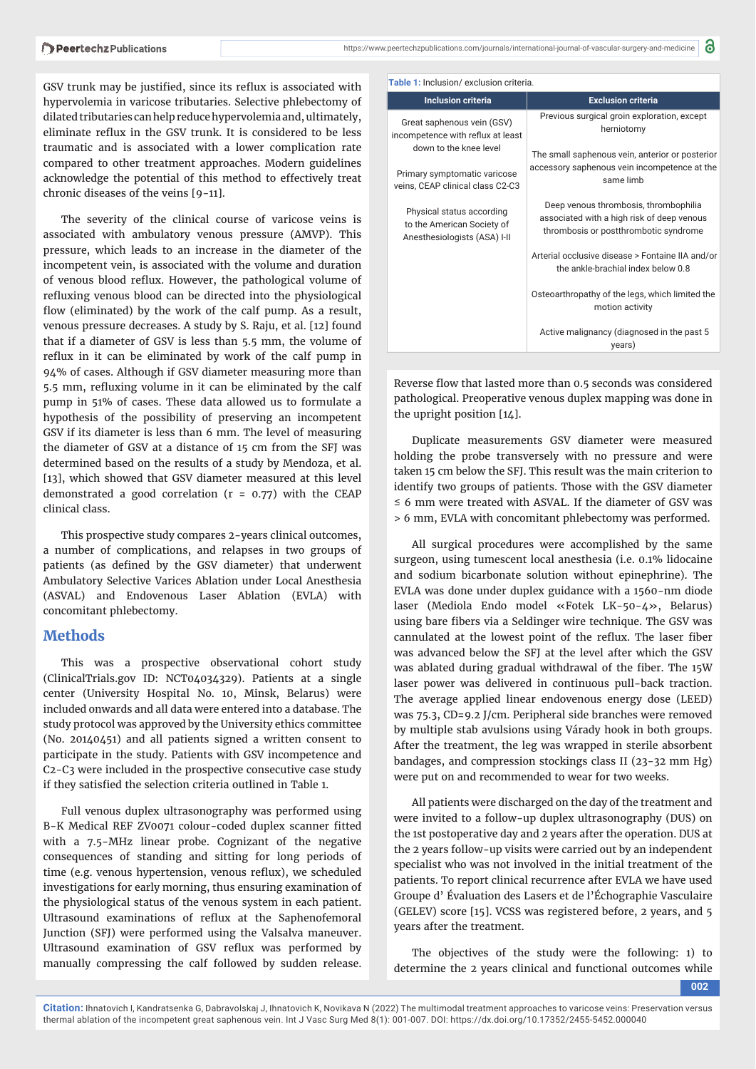GSV trunk may be justified, since its reflux is associated with hypervolemia in varicose tributaries. Selective phlebectomy of dilated tributaries can help reduce hypervolemia and, ultimately, eliminate reflux in the GSV trunk. It is considered to be less traumatic and is associated with a lower complication rate compared to other treatment approaches. Modern guidelines acknowledge the potential of this method to effectively treat chronic diseases of the veins [9-11].

The severity of the clinical course of varicose veins is associated with ambulatory venous pressure (AMVP). This pressure, which leads to an increase in the diameter of the incompetent vein, is associated with the volume and duration of venous blood reflux. However, the pathological volume of refluxing venous blood can be directed into the physiological flow (eliminated) by the work of the calf pump. As a result, venous pressure decreases. A study by S. Raju, et al. [12] found that if a diameter of GSV is less than 5.5 mm, the volume of reflux in it can be eliminated by work of the calf pump in 94% of cases. Although if GSV diameter measuring more than 5.5 mm, refluxing volume in it can be eliminated by the calf pump in 51% of cases. These data allowed us to formulate a hypothesis of the possibility of preserving an incompetent GSV if its diameter is less than 6 mm. The level of measuring the diameter of GSV at a distance of 15 cm from the SFJ was determined based on the results of a study by Mendoza, et al. [13], which showed that GSV diameter measured at this level demonstrated a good correlation ( $r = 0.77$ ) with the CEAP clinical class.

This prospective study compares 2-years clinical outcomes, a number of complications, and relapses in two groups of patients (as defined by the GSV diameter) that underwent Ambulatory Selective Varices Ablation under Local Anesthesia (ASVAL) and Endovenous Laser Ablation (EVLA) with concomitant phlebectomy.

### **Methods**

This was a prospective observational cohort study (ClinicalTrials.gov ID: NCT04034329). Patients at a single center (University Hospital No. 10, Minsk, Belarus) were included onwards and all data were entered into a database. The study protocol was approved by the University ethics committee (No. 20140451) and all patients signed a written consent to participate in the study. Patients with GSV incompetence and C2-C3 were included in the prospective consecutive case study if they satisfied the selection criteria outlined in Table 1.

Full venous duplex ultrasonography was performed using B-K Medical REF ZV0071 colour-coded duplex scanner fitted with a 7.5-MHz linear probe. Cognizant of the negative consequences of standing and sitting for long periods of time (e.g. venous hypertension, venous reflux), we scheduled investigations for early morning, thus ensuring examination of the physiological status of the venous system in each patient. Ultrasound examinations of reflux at the Saphenofemoral Junction (SFJ) were performed using the Valsalva maneuver. Ultrasound examination of GSV reflux was performed by manually compressing the calf followed by sudden release.

| <b>Table 1:</b> Inclusion/ exclusion criteria.                                          |                                                                                                                              |  |  |  |
|-----------------------------------------------------------------------------------------|------------------------------------------------------------------------------------------------------------------------------|--|--|--|
| <b>Inclusion criteria</b>                                                               | <b>Exclusion criteria</b>                                                                                                    |  |  |  |
| Great saphenous vein (GSV)<br>incompetence with reflux at least                         | Previous surgical groin exploration, except<br>herniotomy                                                                    |  |  |  |
| down to the knee level                                                                  | The small saphenous vein, anterior or posterior                                                                              |  |  |  |
| Primary symptomatic varicose<br>veins, CEAP clinical class C2-C3                        | accessory saphenous vein incompetence at the<br>same limb                                                                    |  |  |  |
| Physical status according<br>to the American Society of<br>Anesthesiologists (ASA) I-II | Deep venous thrombosis, thrombophilia<br>associated with a high risk of deep venous<br>thrombosis or postthrombotic syndrome |  |  |  |
|                                                                                         | Arterial occlusive disease > Fontaine IIA and/or<br>the ankle-brachial index below 0.8                                       |  |  |  |
|                                                                                         | Osteoarthropathy of the legs, which limited the<br>motion activity                                                           |  |  |  |
|                                                                                         | Active malignancy (diagnosed in the past 5<br>years)                                                                         |  |  |  |

Reverse flow that lasted more than 0.5 seconds was considered pathological. Preoperative venous duplex mapping was done in the upright position [14].

Duplicate measurements GSV diameter were measured holding the probe transversely with no pressure and were taken 15 cm below the SFJ. This result was the main criterion to identify two groups of patients. Those with the GSV diameter ≤ 6 mm were treated with ASVAL. If the diameter of GSV was > 6 mm, EVLA with concomitant phlebectomy was performed.

All surgical procedures were accomplished by the same surgeon, using tumescent local anesthesia (i.e. 0.1% lidocaine and sodium bicarbonate solution without epinephrine). The EVLA was done under duplex guidance with a 1560-nm diode laser (Mediola Endo model «Fotek LK-50-4», Belarus) using bare fibers via a Seldinger wire technique. The GSV was cannulated at the lowest point of the reflux. The laser fiber was advanced below the SFJ at the level after which the GSV was ablated during gradual withdrawal of the fiber. The 15W laser power was delivered in continuous pull-back traction. The average applied linear endovenous energy dose (LEED) was 75.3, CD=9.2 J/cm. Peripheral side branches were removed by multiple stab avulsions using Várady hook in both groups. After the treatment, the leg was wrapped in sterile absorbent bandages, and compression stockings class II (23-32 mm Hg) were put on and recommended to wear for two weeks.

All patients were discharged on the day of the treatment and were invited to a follow-up duplex ultrasonography (DUS) on the 1st postoperative day and 2 years after the operation. DUS at the 2 years follow-up visits were carried out by an independent specialist who was not involved in the initial treatment of the patients. To report clinical recurrence after EVLA we have used Groupe d' Évaluation des Lasers et de l'Échographie Vasculaire (GELEV) score [15]. VCSS was registered before, 2 years, and 5 years after the treatment.

The objectives of the study were the following: 1) to determine the 2 years clinical and functional outcomes while

**002**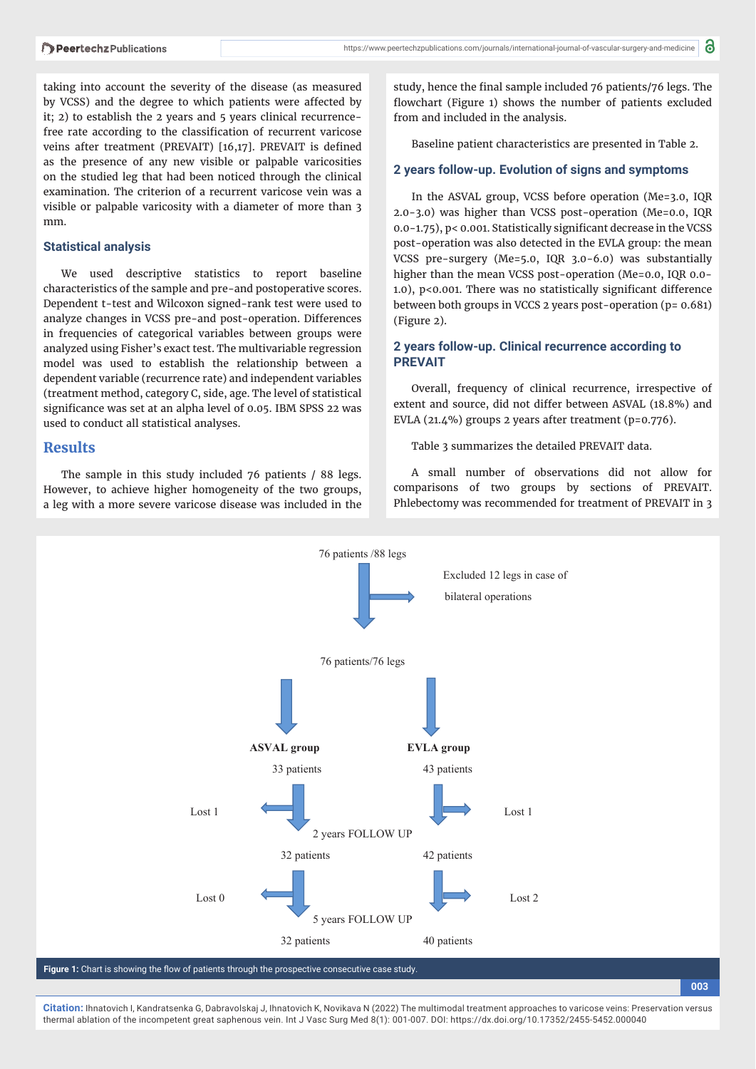taking into account the severity of the disease (as measured by VCSS) and the degree to which patients were affected by it; 2) to establish the 2 years and 5 years clinical recurrencefree rate according to the classification of recurrent varicose veins after treatment (PREVAIT) [16,17]. PREVAIT is defined as the presence of any new visible or palpable varicosities on the studied leg that had been noticed through the clinical examination. The criterion of a recurrent varicose vein was a visible or palpable varicosity with a diameter of more than 3 mm.

### **Statistical analysis**

We used descriptive statistics to report baseline characteristics of the sample and pre-and postoperative scores. Dependent t-test and Wilcoxon signed-rank test were used to analyze changes in VCSS pre-and post-operation. Differences in frequencies of categorical variables between groups were analyzed using Fisher's exact test. The multivariable regression model was used to establish the relationship between a dependent variable (recurrence rate) and independent variables (treatment method, category C, side, age. The level of statistical significance was set at an alpha level of 0.05. IBM SPSS 22 was used to conduct all statistical analyses.

### **Results**

The sample in this study included 76 patients / 88 legs. However, to achieve higher homogeneity of the two groups, a leg with a more severe varicose disease was included in the study, hence the final sample included 76 patients/76 legs. The flowchart (Figure 1) shows the number of patients excluded from and included in the analysis.

Baseline patient characteristics are presented in Table 2.

### **2 years follow-up. Evolution of signs and symptoms**

In the ASVAL group, VCSS before operation (Me=3.0, IQR 2.0-3.0) was higher than VCSS post-operation (Me=0.0, IQR 0.0-1.75), p< 0.001. Statistically significant decrease in the VCSS post-operation was also detected in the EVLA group: the mean VCSS pre-surgery (Me=5.0, IQR 3.0-6.0) was substantially higher than the mean VCSS post-operation (Me=0.0, IQR 0.0- 1.0),  $p$ <0.001. There was no statistically significant difference between both groups in VCCS 2 years post-operation (p= 0.681) (Figure 2).

### **2 years follow-up. Clinical recurrence according to PREVAIT**

Overall, frequency of clinical recurrence, irrespective of extent and source, did not differ between ASVAL (18.8%) and EVLA (21.4%) groups 2 years after treatment (p=0.776).

Table 3 summarizes the detailed PREVAIT data.

A small number of observations did not allow for comparisons of two groups by sections of PREVAIT. Phlebectomy was recommended for treatment of PREVAIT in 3

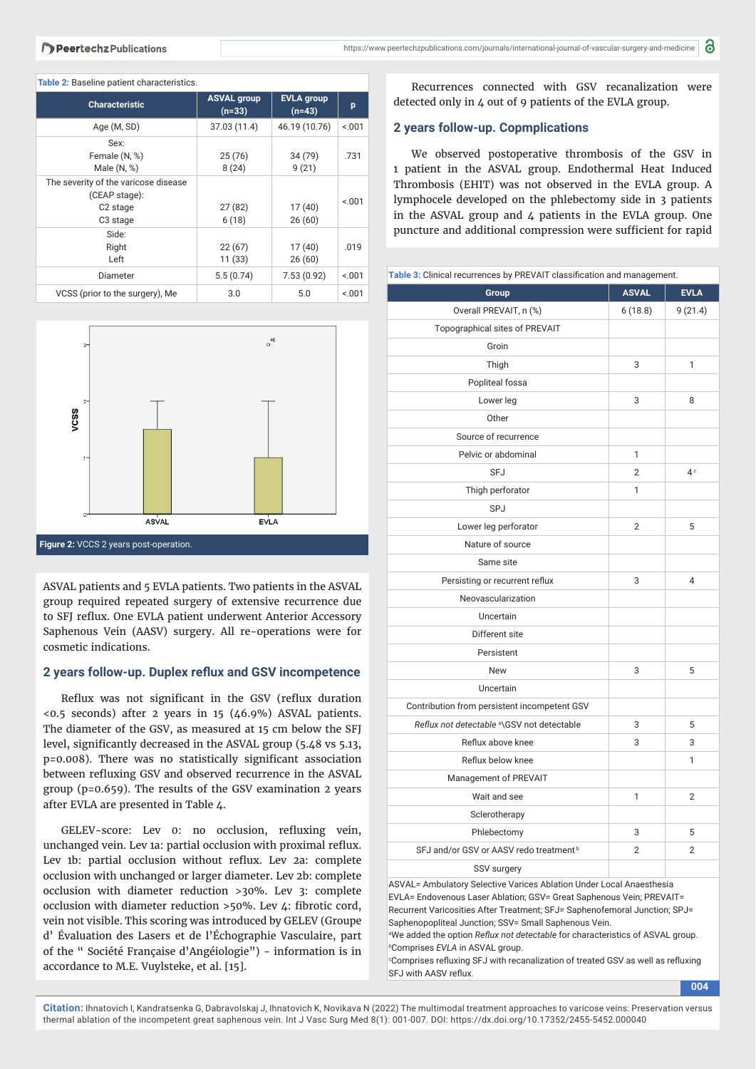| <b>Characteristic</b>                                                                                 | <b>ASVAL group</b><br>$(n=33)$ | <b>EVLA</b> group<br>$(n=43)$ | p      |  |  |  |
|-------------------------------------------------------------------------------------------------------|--------------------------------|-------------------------------|--------|--|--|--|
| Age (M, SD)                                                                                           | 37.03 (11.4)                   | 46.19 (10.76)                 | < 001  |  |  |  |
| Sex:<br>Female (N, %)<br>Male $(N, %)$                                                                | 25(76)<br>8(24)                | 34 (79)<br>9(21)              | .731   |  |  |  |
| The severity of the varicose disease<br>(CEAP stage):<br>C <sub>2</sub> stage<br>C <sub>3</sub> stage | 27(82)<br>6(18)                | 17(40)<br>26(60)              | < 0.01 |  |  |  |
| Side:                                                                                                 |                                |                               |        |  |  |  |

22 (67) 11 (33)

Diameter 5.5 (0.74) 7.53 (0.92) <.001

VCSS (prior to the surgery), Me 3.0 5.0  $\leq 0.01$ 

17 (40) 26 (60) .019

#### **Table 2:** Baseline patient characteristics.

Right Left

| $3-$                  |              | $\circ$ <sup>40</sup> |  |
|-----------------------|--------------|-----------------------|--|
| $2-$<br>vcss<br>$1 -$ |              |                       |  |
| 0                     | <b>ASVAL</b> | EVALA                 |  |

**Figure 2:** VCCS 2 years post-operation.

ASVAL patients and 5 EVLA patients. Two patients in the ASVAL group required repeated surgery of extensive recurrence due to SFJ reflux. One EVLA patient underwent Anterior Accessory Saphenous Vein (AASV) surgery. All re-operations were for cosmetic indications.

### 2 years follow-up. Duplex reflux and GSV incompetence

Reflux was not significant in the GSV (reflux duration <0.5 seconds) after 2 years in 15 (46.9%) ASVAL patients. The diameter of the GSV, as measured at 15 cm below the SFJ level, significantly decreased in the ASVAL group (5.48 vs 5.13, p=0.008). There was no statistically significant association between refluxing GSV and observed recurrence in the ASVAL group (p=0.659). The results of the GSV examination 2 years after EVLA are presented in Table 4.

GELEV-score: Lev 0: no occlusion, refluxing vein, unchanged vein. Lev 1a: partial occlusion with proximal reflux. Lev 1b: partial occlusion without reflux. Lev 2a: complete occlusion with unchanged or larger diameter. Lev 2b: complete occlusion with diameter reduction >30%. Lev 3: complete occlusion with diameter reduction >50%. Lev 4: fibrotic cord, vein not visible. This scoring was introduced by GELEV (Groupe d' Évaluation des Lasers et de l'Échographie Vasculaire, part of the " Société Française d'Angéiologie") - information is in accordance to M.E. Vuylsteke, et al. [15].

Recurrences connected with GSV recanalization were detected only in 4 out of 9 patients of the EVLA group.

### **2 years follow-up. Coрmplications**

We observed postoperative thrombosis of the GSV in 1 patient in the ASVAL group. Endothermal Heat Induced Thrombosis (EHIT) was not observed in the EVLA group. A lymphocele developed on the phlebectomy side in 3 patients in the ASVAL group and 4 patients in the EVLA group. One puncture and additional compression were sufficient for rapid

# **Table 3:** Clinical recurrences by PREVAIT classification and management. **Group ASVAL** EVLA Overall PREVAIT, n (%) 6 (18.8) 9 (21.4) Topographical sites of PREVAIT Groin Thigh 3 1 Popliteal fossa  $L \text{ over } \text{len}$   $\begin{array}{ccc} 3 & 8 \\ 3 & 3 \end{array}$ **Other** Source of recurrence Pelvic or abdominal 1 SFJ 2 4*<sup>c</sup>* Thigh perforator 1 SPJ Lower leg perforator 2 5 Nature of source Same site Persisting or recurrent reflux 3 4 Neovascularization Uncertain Different site Persistent New 5 Uncertain Contribution from persistent incompetent GSV *Reflux not detectable* <sup>a</sup>\GSV not detectable 3 5 Reflux above knee  $\overline{3}$  3 3 Reflux below knee 1 Management of PREVAIT Wait and see 1 2 **Sclerotherapy** Phlebectomy 3 5 SFJ and/or GSV or AASV redo treatment b 2 2 2 SSV surgery ASVAL= Ambulatory Selective Varices Ablation Under Local Anaesthesia

EVLA= Endovenous Laser Ablation; GSV= Great Saphenous Vein; PREVAIT= Recurrent Varicosities After Treatment; SFJ= Saphenofemoral Junction; SPJ= Saphenopopliteal Junction; SSV= Small Saphenous Vein.

<sup>a</sup>We added the option *Reflux not detectable* for characteristics of ASVAL group. *b* Comprises *EVLA* in ASVAL group.

*<sup>c</sup>* Comprises refluxing SFJ with recanalization of treated GSV as well as refluxing SFJ with AASV reflux.

**004**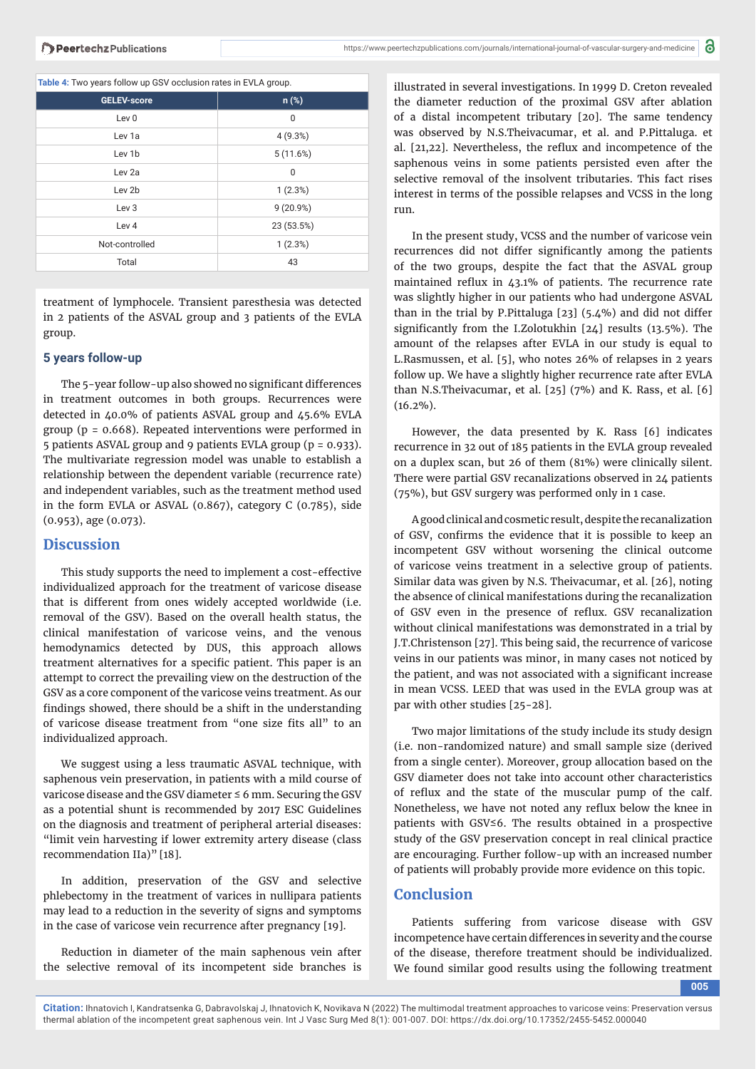**Table 4:** Two years follow up GSV occlusion rates in EVLA group.

| .                  |            |  |
|--------------------|------------|--|
| <b>GELEV-score</b> | $n$ (%)    |  |
| Lev <sub>0</sub>   | 0          |  |
| Lev 1a             | 4(9.3%)    |  |
| Lev 1b             | 5(11.6%)   |  |
| Lev <sub>2a</sub>  | 0          |  |
| Lev 2b             | 1(2.3%)    |  |
| Lev 3              | 9 (20.9%)  |  |
| Lev <sub>4</sub>   | 23 (53.5%) |  |
| Not-controlled     | 1(2.3%)    |  |
| Total              | 43         |  |

treatment of lymphocele. Transient paresthesia was detected in 2 patients of the ASVAL group and 3 patients of the EVLA group.

### **5 years follow-up**

The 5-year follow-up also showed no significant differences in treatment outcomes in both groups. Recurrences were detected in 40.0% of patients ASVAL group and 45.6% EVLA group ( $p = 0.668$ ). Repeated interventions were performed in 5 patients ASVAL group and 9 patients EVLA group (p = 0.933). The multivariate regression model was unable to establish a relationship between the dependent variable (recurrence rate) and independent variables, such as the treatment method used in the form EVLA or ASVAL (0.867), category C (0.785), side (0.953), age (0.073).

### **Discussion**

This study supports the need to implement a cost-effective individualized approach for the treatment of varicose disease that is different from ones widely accepted worldwide (i.e. removal of the GSV). Based on the overall health status, the clinical manifestation of varicose veins, and the venous hemodynamics detected by DUS, this approach allows treatment alternatives for a specific patient. This paper is an attempt to correct the prevailing view on the destruction of the GSV as a core component of the varicose veins treatment. As our findings showed, there should be a shift in the understanding of varicose disease treatment from "one size fits all" to an individualized approach.

We suggest using a less traumatic ASVAL technique, with saphenous vein preservation, in patients with a mild course of varicose disease and the GSV diameter  $\leq 6$  mm. Securing the GSV as a potential shunt is recommended by 2017 ESC Guidelines on the diagnosis and treatment of peripheral arterial diseases: "limit vein harvesting if lower extremity artery disease (class recommendation IIa)" [18].

In addition, preservation of the GSV and selective phlebectomy in the treatment of varices in nullipara patients may lead to a reduction in the severity of signs and symptoms in the case of varicose vein recurrence after pregnancy [19].

Reduction in diameter of the main saphenous vein after the selective removal of its incompetent side branches is

illustrated in several investigations. In 1999 D. Creton revealed the diameter reduction of the proximal GSV after ablation of a distal incompetent tributary [20]. The same tendency was observed by N.S.Theivacumar, et al. and P.Pittaluga. et al.  $[21,22]$ . Nevertheless, the reflux and incompetence of the saphenous veins in some patients persisted even after the selective removal of the insolvent tributaries. This fact rises interest in terms of the possible relapses and VCSS in the long run.

In the present study, VCSS and the number of varicose vein recurrences did not differ significantly among the patients of the two groups, despite the fact that the ASVAL group maintained reflux in  $43.1\%$  of patients. The recurrence rate was slightly higher in our patients who had undergone ASVAL than in the trial by P.Pittaluga [23] (5.4%) and did not differ significantly from the I.Zolotukhin [24] results (13.5%). The amount of the relapses after EVLA in our study is equal to L.Rasmussen, et al. [5], who notes 26% of relapses in 2 years follow up. We have a slightly higher recurrence rate after EVLA than N.S.Theivacumar, et al. [25] (7%) and K. Rass, et al. [6] (16.2%).

However, the data presented by K. Rass [6] indicates recurrence in 32 out of 185 patients in the EVLA group revealed on a duplex scan, but 26 of them (81%) were clinically silent. There were partial GSV recanalizations observed in 24 patients (75%), but GSV surgery was performed only in 1 case.

A good clinical and cosmetic result, despite the recanalization of GSV, confirms the evidence that it is possible to keep an incompetent GSV without worsening the clinical outcome of varicose veins treatment in a selective group of patients. Similar data was given by N.S. Theivacumar, et al. [26], noting the absence of clinical manifestations during the recanalization of GSV even in the presence of reflux. GSV recanalization without clinical manifestations was demonstrated in a trial by J.T.Christenson [27]. This being said, the recurrence of varicose veins in our patients was minor, in many cases not noticed by the patient, and was not associated with a significant increase in mean VCSS. LEED that was used in the EVLA group was at par with other studies [25-28].

Two major limitations of the study include its study design (i.e. non-randomized nature) and small sample size (derived from a single center). Moreover, group allocation based on the GSV diameter does not take into account other characteristics of reflux and the state of the muscular pump of the calf. Nonetheless, we have not noted any reflux below the knee in patients with GSV≤6. The results obtained in a prospective study of the GSV preservation concept in real clinical practice are encouraging. Further follow-up with an increased number of patients will probably provide more evidence on this topic.

### **Conclusion**

Patients suffering from varicose disease with GSV incompetence have certain differences in severity and the course of the disease, therefore treatment should be individualized. We found similar good results using the following treatment

**005**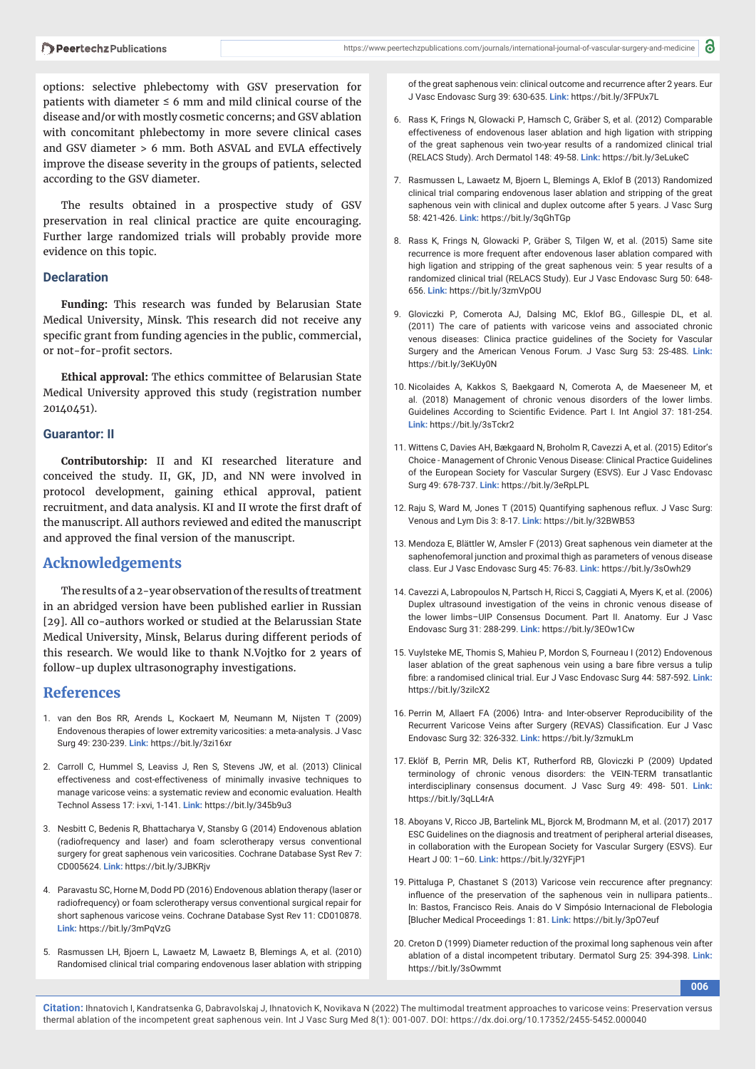options: selective phlebectomy with GSV preservation for patients with diameter  $\leq 6$  mm and mild clinical course of the disease and/or with mostly cosmetic concerns; and GSV ablation with concomitant phlebectomy in more severe clinical cases and GSV diameter > 6 mm. Both ASVAL and EVLA effectively improve the disease severity in the groups of patients, selected according to the GSV diameter.

The results obtained in a prospective study of GSV preservation in real clinical practice are quite encouraging. Further large randomized trials will probably provide more evidence on this topic.

### **Declaration**

**Funding:** This research was funded by Belarusian State Medical University, Minsk. This research did not receive any specific grant from funding agencies in the public, commercial, or not-for-profit sectors.

**Ethical approval:** The ethics committee of Belarusian State Medical University approved this study (registration number 20140451).

### **Guarantor: II**

**Contributorship:** II and KI researched literature and conceived the study. II, GK, JD, and NN were involved in protocol development, gaining ethical approval, patient recruitment, and data analysis. KI and II wrote the first draft of the manuscript. All authors reviewed and edited the manuscript and approved the final version of the manuscript.

### **Acknowledgements**

The results of a 2-year observation of the results of treatment in an abridged version have been published earlier in Russian [29]. All co-authors worked or studied at the Belarussian State Medical University, Minsk, Belarus during different periods of this research. We would like to thank N.Vojtko for 2 years of follow-up duplex ultrasonography investigations.

### **References**

- 1. van den Bos RR, Arends L, Kockaert M, Neumann M, Nijsten T (2009) Endovenous therapies of lower extremity varicosities: a meta-analysis. J Vasc Surg 49: 230-239. **Link:** https://bit.ly/3zi16xr
- 2. Carroll C, Hummel S, Leaviss J, Ren S, Stevens JW, et al. (2013) Clinical effectiveness and cost-effectiveness of minimally invasive techniques to manage varicose veins: a systematic review and economic evaluation. Health Technol Assess 17: i-xvi, 1-141. **Link:** https://bit.ly/345b9u3
- 3. Nesbitt C, Bedenis R, Bhattacharya V, Stansby G (2014) Endovenous ablation (radiofrequency and laser) and foam sclerotherapy versus conventional surgery for great saphenous vein varicosities. Cochrane Database Syst Rev 7: CD005624. **Link:** https://bit.ly/3JBKRjv
- 4. Paravastu SC, Horne M, Dodd PD (2016) Endovenous ablation therapy (laser or radiofrequency) or foam sclerotherapy versus conventional surgical repair for short saphenous varicose veins. Cochrane Database Syst Rev 11: CD010878. **Link:** https://bit.ly/3mPqVzG
- 5. Rasmussen LH, Bjoern L, Lawaetz M, Lawaetz B, Blemings A, et al. (2010) Randomised clinical trial comparing endovenous laser ablation with stripping

of the great saphenous vein: clinical outcome and recurrence after 2 years. Eur J Vasc Endovasc Surg 39: 630-635. **Link:** https://bit.ly/3FPUx7L

- 6. Rass K, Frings N, Glowacki P, Hamsch C, Gräber S, et al. (2012) Comparable effectiveness of endovenous laser ablation and high ligation with stripping of the great saphenous vein two-year results of a randomized clinical trial (RELACS Study). Arch Dermatol 148: 49-58. **Link:** https://bit.ly/3eLukeC
- 7. Rasmussen L, Lawaetz M, Bjoern L, Blemings A, Eklof B (2013) Randomized clinical trial comparing endovenous laser ablation and stripping of the great saphenous vein with clinical and duplex outcome after 5 years. J Vasc Surg 58: 421-426. **Link:** https://bit.ly/3qGhTGp
- 8. Rass K, Frings N, Glowacki P, Gräber S, Tilgen W, et al. (2015) Same site recurrence is more frequent after endovenous laser ablation compared with high ligation and stripping of the great saphenous vein: 5 year results of a randomized clinical trial (RELACS Study). Eur J Vasc Endovasc Surg 50: 648- 656. **Link:** https://bit.ly/3zmVpOU
- 9. Gloviczki P, Comerota AJ, Dalsing MC, Eklof BG., Gillespie DL, et al. (2011) The care of patients with varicose veins and associated chronic venous diseases: Clinica practice guidelines of the Society for Vascular Surgery and the American Venous Forum. J Vasc Surg 53: 2S-48S. **Link:** https://bit.ly/3eKUy0N
- 10. Nicolaides A, Kakkos S, Baekgaard N, Comerota A, de Maeseneer M, et al. (2018) Management of chronic venous disorders of the lower limbs. Guidelines According to Scientific Evidence. Part I. Int Angiol 37: 181-254. **Link:** https://bit.ly/3sTckr2
- 11. Wittens C, Davies AH, Bækgaard N, Broholm R, Cavezzi A, et al. (2015) Editor's Choice - Management of Chronic Venous Disease: Clinical Practice Guidelines of the European Society for Vascular Surgery (ESVS). Eur J Vasc Endovasc Surg 49: 678-737. **Link:** https://bit.ly/3eRpLPL
- 12. Raju S, Ward M, Jones T (2015) Quantifying saphenous reflux. J Vasc Surg: Venous and Lym Dis 3: 8-17. **Link:** https://bit.ly/32BWB53
- 13. Mendoza E, Blättler W, Amsler F (2013) Great saphenous vein diameter at the saphenofemoral junction and proximal thigh as parameters of venous disease class. Eur J Vasc Endovasc Surg 45: 76-83. **Link:** https://bit.ly/3sOwh29
- 14. Cavezzi A, Labropoulos N, Partsch H, Ricci S, Caggiati A, Myers K, et al. (2006) Duplex ultrasound investigation of the veins in chronic venous disease of the lower limbs–UIP Consensus Document. Part II. Anatomy. Eur J Vasc Endovasc Surg 31: 288-299. **Link:** https://bit.ly/3EOw1Cw
- 15. Vuylsteke ME, Thomis S, Mahieu P, Mordon S, Fourneau I (2012) Endovenous laser ablation of the great saphenous vein using a bare fibre versus a tulip fibre: a randomised clinical trial. Eur J Vasc Endovasc Surg 44: 587-592. Link: https://bit.ly/3ziIcX2
- 16. Perrin M, Allaert FA (2006) Intra- and Inter-observer Reproducibility of the Recurrent Varicose Veins after Surgery (REVAS) Classification. Eur J Vasc Endovasc Surg 32: 326-332. **Link:** https://bit.ly/3zmukLm
- 17. Eklöf B, Perrin MR, Delis KT, Rutherford RB, Gloviczki P (2009) Updated terminology of chronic venous disorders: the VEIN-TERM transatlantic interdisciplinary consensus document. J Vasc Surg 49: 498- 501. **Link:** https://bit.ly/3qLL4rA
- 18. Aboyans V, Ricco JB, Bartelink ML, Bjorck M, Brodmann M, et al. (2017) 2017 ESC Guidelines on the diagnosis and treatment of peripheral arterial diseases, in collaboration with the European Society for Vascular Surgery (ESVS). Eur Heart J 00: 1–60. **Link:** https://bit.ly/32YFjP1
- 19. Pittaluga P, Chastanet S (2013) Varicose vein reccurence after pregnancy: influence of the preservation of the saphenous vein in nullipara patients.. In: Bastos, Francisco Reis. Anais do V Simpósio Internacional de Flebologia [Blucher Medical Proceedings 1: 81. **Link:** https://bit.ly/3pO7euf
- 20. Creton D (1999) Diameter reduction of the proximal long saphenous vein after ablation of a distal incompetent tributary. Dermatol Surg 25: 394-398. **Link:** https://bit.ly/3sOwmmt

**006**